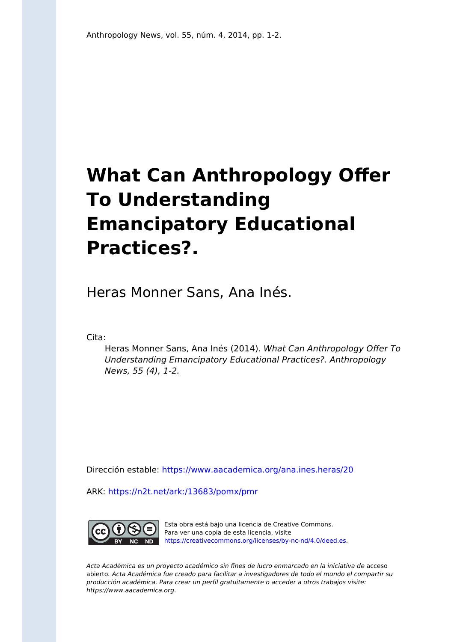## **What Can Anthropology Offer To Understanding Emancipatory Educational Practices?.**

Heras Monner Sans, Ana Inés.

Cita:

Heras Monner Sans, Ana Inés (2014). What Can Anthropology Offer To Understanding Emancipatory Educational Practices?. Anthropology News, 55 (4), 1-2.

Dirección estable:<https://www.aacademica.org/ana.ines.heras/20>

ARK: <https://n2t.net/ark:/13683/pomx/pmr>



Esta obra está bajo una licencia de Creative Commons. Para ver una copia de esta licencia, visite [https://creativecommons.org/licenses/by-nc-nd/4.0/deed.es.](https://creativecommons.org/licenses/by-nc-nd/4.0/deed.es)

Acta Académica es un proyecto académico sin fines de lucro enmarcado en la iniciativa de acceso abierto. Acta Académica fue creado para facilitar a investigadores de todo el mundo el compartir su producción académica. Para crear un perfil gratuitamente o acceder a otros trabajos visite: https://www.aacademica.org.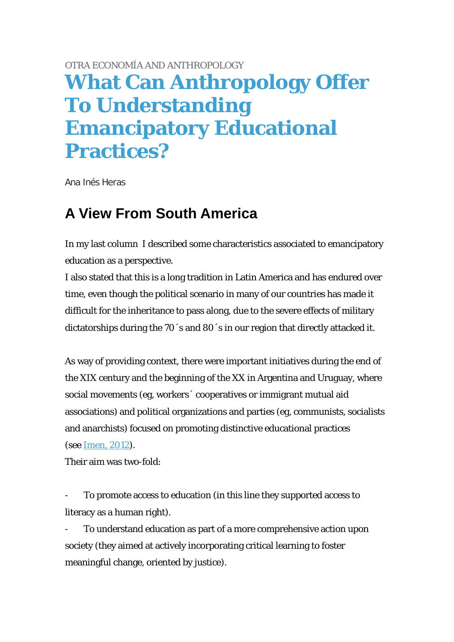## [OTRA ECONOMÍA AND ANTHROPOLOGY](http://www.anthropology-news.org/index.php/tag/otra-economia-and-anthropology/) **[What Can Anthropology Offer](http://www.anthropology-news.org/index.php/2014/04/09/what-can-anthropology-offer-to-understanding-emancipatory-educational-practices/)  [To Understanding](http://www.anthropology-news.org/index.php/2014/04/09/what-can-anthropology-offer-to-understanding-emancipatory-educational-practices/)  [Emancipatory Educational](http://www.anthropology-news.org/index.php/2014/04/09/what-can-anthropology-offer-to-understanding-emancipatory-educational-practices/)  [Practices?](http://www.anthropology-news.org/index.php/2014/04/09/what-can-anthropology-offer-to-understanding-emancipatory-educational-practices/)**

Ana Inés Heras

## **A View From South America**

[In my last column I](http://www.anthropology-news.org/index.php/2014/03/28/emancipatory-educational-processes/) described some characteristics associated to emancipatory education as a perspective.

I also stated that this is a long tradition in Latin America and has endured over time, even though the political scenario in many of our countries has made it difficult for the inheritance to pass along, due to the severe effects of military dictatorships during the 70´s and 80´s in our region that directly attacked it.

As way of providing context, there were important initiatives during the end of the XIX century and the beginning of the XX in Argentina and Uruguay, where social movements (eg, workers´ cooperatives or immigrant mutual aid associations) and political organizations and parties (eg, communists, socialists and anarchists) focused on promoting distinctive educational practices (see [Imen, 2012\)](http://www.centrocultural.coop/blogs/cooperativismo/2013/02/01/una-pedagogia-para-la-solidaridad/).

Their aim was two-fold:

- To promote access to education (in this line they supported access to literacy as a human right).

To understand education as part of a more comprehensive action upon society (they aimed at actively incorporating critical learning to foster meaningful change, oriented by justice).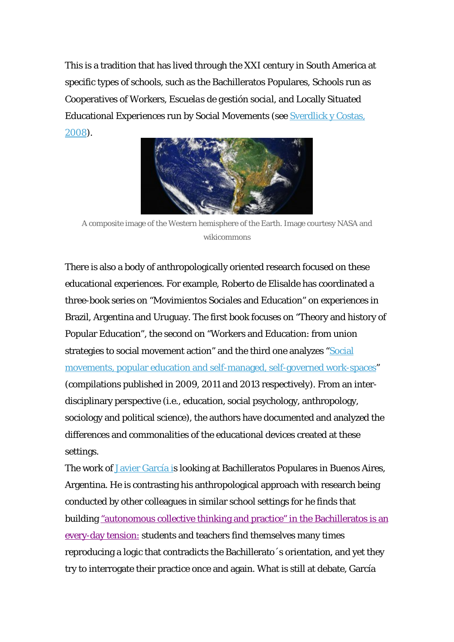This is a tradition that has lived through the XXI century in South America at specific types of schools, such as the Bachilleratos Populares, Schools run as Cooperatives of Workers, *Escuelas de gestión social*, and Locally Situated Educational Experiences run by Social Movements (see [Sverdlick y Costas,](http://www.fceia.unr.edu.ar/geii/maestria/DoraBibliografia/UT.%204/Sverdlick.Bachilleratos%20populares.pdf) [2008\)](http://www.fceia.unr.edu.ar/geii/maestria/DoraBibliografia/UT.%204/Sverdlick.Bachilleratos%20populares.pdf).



A composite image of the Western hemisphere of the Earth. Image courtesy NASA and wikicommons

There is also a body of anthropologically oriented research focused on these educational experiences. For example, Roberto de Elisalde has coordinated a three-book series on "Movimientos Sociales and Education" on experiences in Brazil, Argentina and Uruguay. The first book focuses on "Theory and history of Popular Education", the second on "Workers and Education: from union strategies to social movement action" and the third one analyzes ["Social](http://www.isbnargentina.org.ar/portal/detallesLibro.aspx?codigo=381115) [movements, popular education and self-managed, self-governed work-spaces](http://www.isbnargentina.org.ar/portal/detallesLibro.aspx?codigo=381115)" (compilations published in 2009, 2011 and 2013 respectively). From an interdisciplinary perspective (i.e., education, social psychology, anthropology, sociology and political science), the authors have documented and analyzed the differences and commonalities of the educational devices created at these settings.

The work of [Javier García i](http://ica.institutos.filo.uba.ar/seanso/pae/boletin/numeros/n03/bae_n03r04.pdf)s looking at Bachilleratos Populares in Buenos Aires, Argentina. He is contrasting his anthropological approach with research being conducted by other colleagues in similar school settings for he finds that building ["autonomous collective thinking and practice" in the Bachilleratos is an](http://ica.institutos.filo.uba.ar/seanso/pae/boletin/numeros/n02/bae_n02a02.pdf) [every-day tension:](http://ica.institutos.filo.uba.ar/seanso/pae/boletin/numeros/n02/bae_n02a02.pdf) students and teachers find themselves many times reproducing a logic that contradicts the Bachillerato´s orientation, and yet they try to interrogate their practice once and again. What is still at debate, García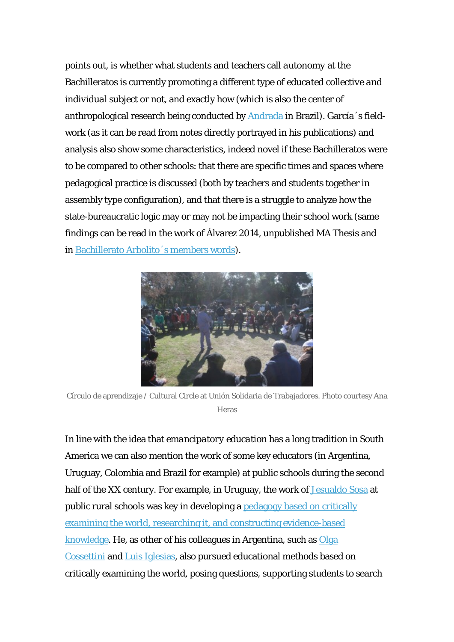points out, is whether what students and teachers call *autonomy* at the Bachilleratos is currently promoting a different type of *educated collective and individual subject* or not, and exactly how (which is also the center of anthropological research being conducted by [Andrada](http://www.teses.usp.br/teses/disponiveis/47/47134/tde-04072013-121257/pt-br.php) in Brazil). García´s fieldwork (as it can be read from notes directly portrayed in his publications) and analysis also show some characteristics, indeed novel if these Bachilleratos were to be compared to other schools: that there are specific times and spaces where pedagogical practice is discussed (both by teachers and students together in assembly type configuration), and that there is a struggle to analyze how the state-bureaucratic logic may or may not be impacting their school work (same findings can be read in the work of Álvarez 2014, unpublished MA Thesis and in [Bachillerato Arbolito´s members words](http://200.110.137.61/wp/?p=1598)).



Círculo de aprendizaje / Cultural Circle at Unión Solidaria de Trabajadores. Photo courtesy Ana Heras

In line with the idea that *emancipatory education* has a long tradition in South America we can also mention the work of some key educators (in Argentina, Uruguay, Colombia and Brazil for example) at public schools during the second half of the XX century. For example, in Uruguay, the work of [Jesualdo Sosa](http://www.quehacer.com.uy/Uruguay/Jesualdo/jesualdo_vida_obra.htm) at public rural schools was key in developing a [pedagogy based on critically](http://www.youtube.com/watch?v=A4ZQjYLXuFw) [examining the world, researching it, and constructing evidence-based](http://www.youtube.com/watch?v=A4ZQjYLXuFw) [knowledge.](http://www.youtube.com/watch?v=A4ZQjYLXuFw) He, as other of his colleagues in Argentina, such as [Olga](http://www.irice-conicet.gov.ar/cossettini/) [Cossettini](http://www.irice-conicet.gov.ar/cossettini/) and [Luis Iglesias](http://audiovisuales.infd.edu.ar/sitio/index.cgi?wid_seccion=1&wid_item=5), also pursued educational methods based on critically examining the world, posing questions, supporting students to search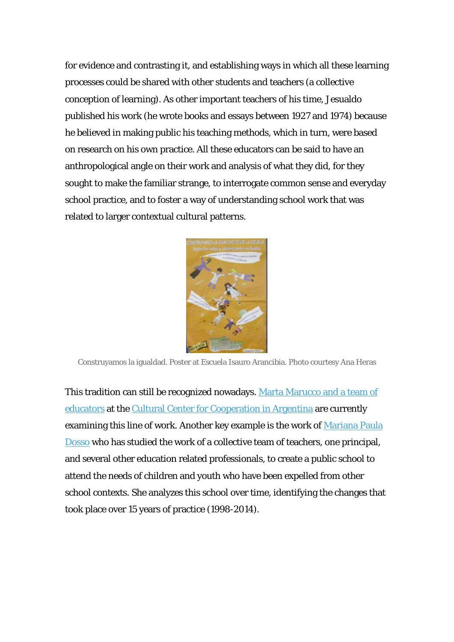for evidence and contrasting it, and establishing ways in which all these learning processes could be shared with other students and teachers (a collective conception of learning). As other important teachers of his time, Jesualdo published his work (he wrote books and essays between 1927 and 1974) because he believed in making public his teaching methods, which in turn, were based on research on his own practice. All these educators can be said to have an anthropological angle on their work and analysis of what they did, for they sought to make the familiar strange, to interrogate common sense and everyday school practice, and to foster a way of understanding school work that was related to larger contextual cultural patterns.



Construyamos la igualdad. Poster at Escuela Isauro Arancibia. Photo courtesy Ana Heras

This tradition can still be recognized nowadays. [Marta Marucco and a team of](http://www.centrocultural.coop/blogs/practicaseducativas/) [educators](http://www.centrocultural.coop/blogs/practicaseducativas/) at the [Cultural Center for Cooperation in Argentina](http://pedagogiaemancipatoria.wordpress.com/2013/12/13/primer-balance-del-encuentro/) are currently examining this line of work. Another key example is the work of [Mariana Paula](http://200.110.137.61/wp/?p=1574) [Dosso](http://200.110.137.61/wp/?p=1574) who has studied the work of a collective team of teachers, one principal, and several other education related professionals, to create a public school to attend the needs of children and youth who have been expelled from other school contexts. She analyzes this school over time, identifying the changes that took place over 15 years of practice (1998-2014).